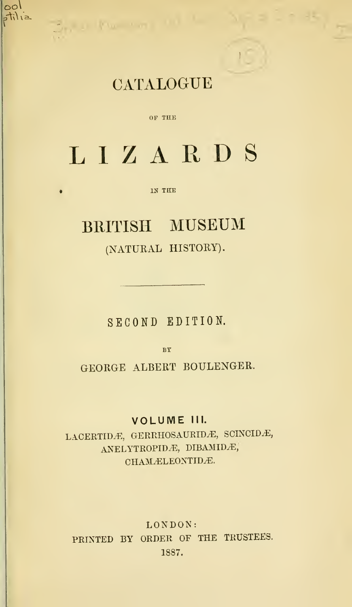## **CATALOGUE**

 $\mathbf{1}$ 

Better the company

 $|{\circ}{\circ}|$ 

stilia

#### OP THE

# LIZARDS

#### IN THE

## BRITISH MUSEUM

## (NATURAL HISTORY).

SECOND EDITION.

BY

GEORGE ALBERT BOULENGER.

### VOLUME III.

LACERTIDÆ, GERRHOSAURIDÆ, SCINCIDÆ, ANELYTROPIDÆ, DIBAMIDÆ, CHAMÆLEONTIDÆ.

LONDON: PRINTED BY ORDER OF THE TRUSTEES. 1887.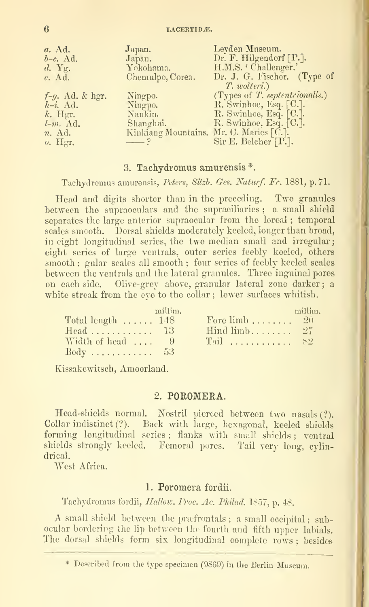$6$  LACERTID $E$ .

| $a.$ Ad.                  | Japan.                                  | Leyden Museum.                 |
|---------------------------|-----------------------------------------|--------------------------------|
| $b-c.$ Ad.                | Japan.                                  | Dr. F. Hilgendorf [P.].        |
| $d. \; Y_{\mathfrak{L}}.$ | Yokohama.                               | H.M.S. 'Challenger.'           |
| $c.$ Ad.                  | Chemulpo, Corea.                        | Dr. J. G. Fischer. (Type of    |
|                           |                                         | T. wolteri.)                   |
| $f-g.$ Ad. & hgr.         | Ningpo.                                 | (Types of T. septentrionalis.) |
| $h-i.$ Ad.                | Ningpo.                                 | R. Swinhoe, Esq. [C.].         |
| $k$ . Hgr.                | Nankin.                                 | R. Swinhoe, Esq. [C.].         |
| $l-m. \ \text{Ad.}$       | Shanghai.                               | R. Swinhoe, Esq. [C.].         |
| $n.$ Ad.                  | Kinkiang Mountains. Mr. C. Maries [C.]. |                                |
| $o.$ Hgr.                 | $ ^{\circ}$                             | Sir E. Belcher [P.].           |

#### 3. Tachydromus amnrensis \*.

Tachydromus amurensis, Peters, Sitzh. Ges. Naturf. Fr. 1881, p. 71.

Head and digits shorter than in the preceding. Two granules between the supraoculars and the supraciliaries ; a small shield separates the large anterior supraocular from the loreal ; temporal scales smooth. Dorsal shields moderately keeled, longer than broad, in eight longitudinal series, the two median small and irregular; eight series of large ventrals, outer series feebly keeled, others smooth ; gular scales all smooth ; four series of feebly keeled scales between the ventrals and the lateral granules. Three inguinal pores on each side. Olive-grey above, granular lateral zone darker; a white streak from the eye to the collar; lower surfaces whitish.

|                                | millim. |                               | millim. |
|--------------------------------|---------|-------------------------------|---------|
| Total length $\dots \dots$ 148 |         | Fore $\lim_{b \to \infty} 20$ |         |
|                                |         | Hind $\lim_{b \to 0}$ $27$    |         |
| Width of head  9               |         | $\Gamma$ Tail  S2             |         |
| $Body \ldots \ldots \ldots 53$ |         |                               |         |

Kissakewitsch, Amoorland.

#### 2, POROMERA.

Head-shields normal. Nostril pierced between two nasals (?). Collar indistinct (?). Back with large, hexagonal, keeled shields forming longitudinal series ; flanks with small shields ; ventral shields strongly keeled. Femoral pores. Tail very long, cylindrical.

West Africa.

#### 1. Poromera fordii.

Tachydromus fordii, Hallow. Proc. Ac. Philad. 1857, p. 48.

A small shield between the prafrontals; a small occipital: subocular bordering the lip between the fourth and fifth upper labials. The dorsal shields form six longitudinal complete rows ; besides

Described from tlie type specimen (98G9) in the Berlin Museum.